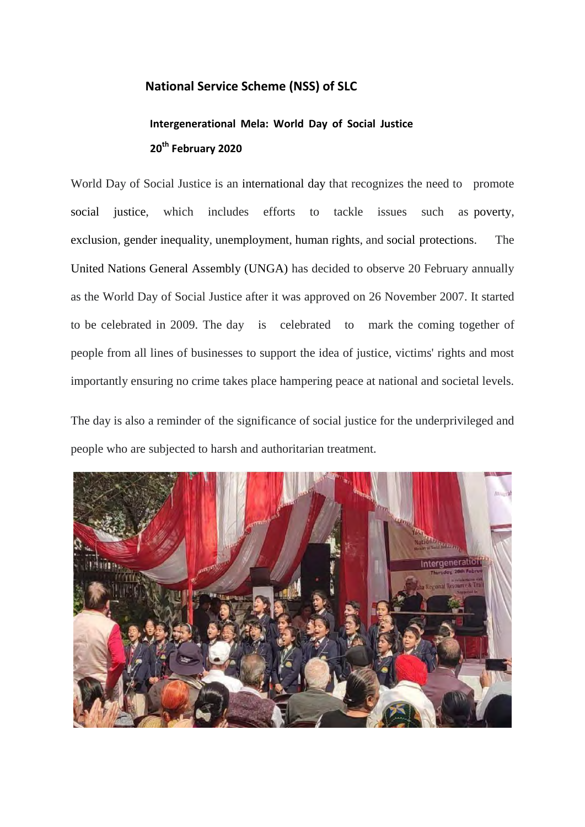## **National Service Scheme (NSS) of SLC**

## **Intergenerational Mela: World Day of Social Justice 20th February 2020**

World Day of Social Justice is an international day that recognizes the need to promote social justice, which includes efforts to tackle issues such as poverty, exclusion, gender inequality, unemployment, human rights, and social protections. The United Nations General Assembly (UNGA) has decided to observe 20 February annually as the World Day of Social Justice after it was approved on 26 November 2007. It started to be celebrated in 2009. The day is celebrated to mark the coming together of people from all lines of businesses to support the idea of justice, victims' rights and most importantly ensuring no crime takes place hampering peace at national and societal levels.

The day is also a reminder of the significance of social justice for the underprivileged and people who are subjected to harsh and authoritarian treatment.